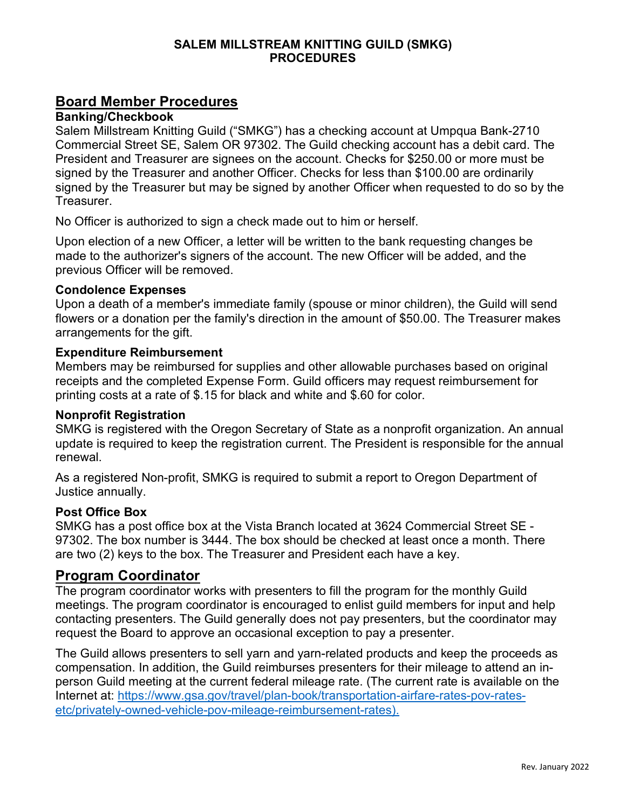## **SALEM MILLSTREAM KNITTING GUILD (SMKG) PROCEDURES**

# **Board Member Procedures**

#### **Banking/Checkbook**

Salem Millstream Knitting Guild ("SMKG") has a checking account at Umpqua Bank-2710 Commercial Street SE, Salem OR 97302. The Guild checking account has a debit card. The President and Treasurer are signees on the account. Checks for \$250.00 or more must be signed by the Treasurer and another Officer. Checks for less than \$100.00 are ordinarily signed by the Treasurer but may be signed by another Officer when requested to do so by the Treasurer.

No Officer is authorized to sign a check made out to him or herself.

Upon election of a new Officer, a letter will be written to the bank requesting changes be made to the authorizer's signers of the account. The new Officer will be added, and the previous Officer will be removed.

#### **Condolence Expenses**

Upon a death of a member's immediate family (spouse or minor children), the Guild will send flowers or a donation per the family's direction in the amount of \$50.00. The Treasurer makes arrangements for the gift.

#### **Expenditure Reimbursement**

Members may be reimbursed for supplies and other allowable purchases based on original receipts and the completed Expense Form. Guild officers may request reimbursement for printing costs at a rate of \$.15 for black and white and \$.60 for color.

#### **Nonprofit Registration**

SMKG is registered with the Oregon Secretary of State as a nonprofit organization. An annual update is required to keep the registration current. The President is responsible for the annual renewal.

As a registered Non-profit, SMKG is required to submit a report to Oregon Department of Justice annually.

#### **Post Office Box**

SMKG has a post office box at the Vista Branch located at 3624 Commercial Street SE - 97302. The box number is 3444. The box should be checked at least once a month. There are two (2) keys to the box. The Treasurer and President each have a key.

# **Program Coordinator**

The program coordinator works with presenters to fill the program for the monthly Guild meetings. The program coordinator is encouraged to enlist guild members for input and help contacting presenters. The Guild generally does not pay presenters, but the coordinator may request the Board to approve an occasional exception to pay a presenter.

The Guild allows presenters to sell yarn and yarn-related products and keep the proceeds as compensation. In addition, the Guild reimburses presenters for their mileage to attend an inperson Guild meeting at the current federal mileage rate. (The current rate is available on the Internet at: https://www.gsa.gov/travel/plan-book/transportation-airfare-rates-pov-ratesetc/privately-owned-vehicle-pov-mileage-reimbursement-rates).